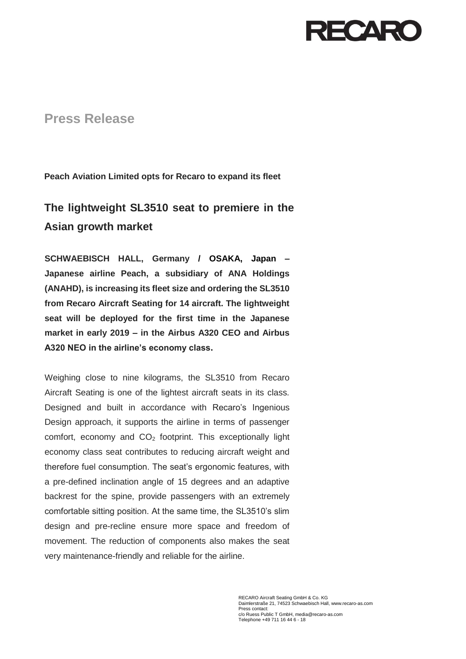## RECARC

## **Press Release**

**Peach Aviation Limited opts for Recaro to expand its fleet**

## **The lightweight SL3510 seat to premiere in the Asian growth market**

**SCHWAEBISCH HALL, Germany / OSAKA, Japan – Japanese airline Peach, a subsidiary of ANA Holdings (ANAHD), is increasing its fleet size and ordering the SL3510 from Recaro Aircraft Seating for 14 aircraft. The lightweight seat will be deployed for the first time in the Japanese market in early 2019 – in the Airbus A320 CEO and Airbus A320 NEO in the airline's economy class.**

Weighing close to nine kilograms, the SL3510 from Recaro Aircraft Seating is one of the lightest aircraft seats in its class. Designed and built in accordance with Recaro's Ingenious Design approach, it supports the airline in terms of passenger comfort, economy and  $CO<sub>2</sub>$  footprint. This exceptionally light economy class seat contributes to reducing aircraft weight and therefore fuel consumption. The seat's ergonomic features, with a pre-defined inclination angle of 15 degrees and an adaptive backrest for the spine, provide passengers with an extremely comfortable sitting position. At the same time, the SL3510's slim design and pre-recline ensure more space and freedom of movement. The reduction of components also makes the seat very maintenance-friendly and reliable for the airline.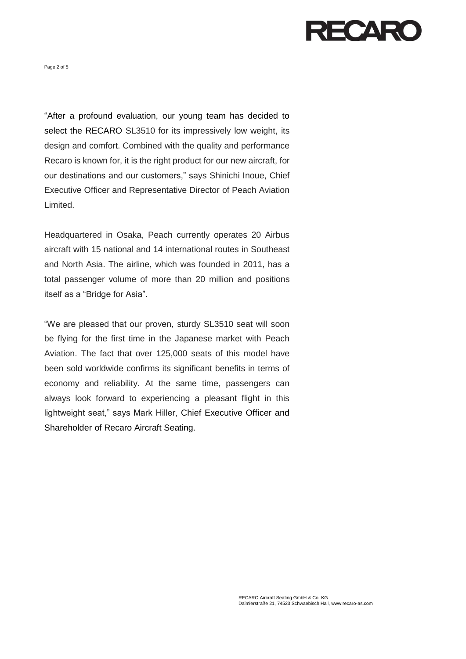

Page 2 of 5

"After a profound evaluation, our young team has decided to select the RECARO SL3510 for its impressively low weight, its design and comfort. Combined with the quality and performance Recaro is known for, it is the right product for our new aircraft, for our destinations and our customers," says Shinichi Inoue, Chief Executive Officer and Representative Director of Peach Aviation Limited.

Headquartered in Osaka, Peach currently operates 20 Airbus aircraft with 15 national and 14 international routes in Southeast and North Asia. The airline, which was founded in 2011, has a total passenger volume of more than 20 million and positions itself as a "Bridge for Asia".

"We are pleased that our proven, sturdy SL3510 seat will soon be flying for the first time in the Japanese market with Peach Aviation. The fact that over 125,000 seats of this model have been sold worldwide confirms its significant benefits in terms of economy and reliability. At the same time, passengers can always look forward to experiencing a pleasant flight in this lightweight seat," says Mark Hiller, Chief Executive Officer and Shareholder of Recaro Aircraft Seating.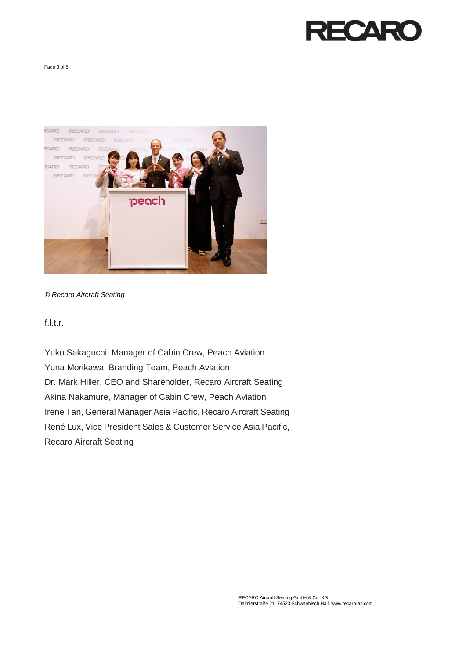

Page 3 of 5



## *© Recaro Aircraft Seating*

f.l.t.r.

Yuko Sakaguchi, Manager of Cabin Crew, Peach Aviation Yuna Morikawa, Branding Team, Peach Aviation Dr. Mark Hiller, CEO and Shareholder, Recaro Aircraft Seating Akina Nakamure, Manager of Cabin Crew, Peach Aviation Irene Tan, General Manager Asia Pacific, Recaro Aircraft Seating René Lux, Vice President Sales & Customer Service Asia Pacific, Recaro Aircraft Seating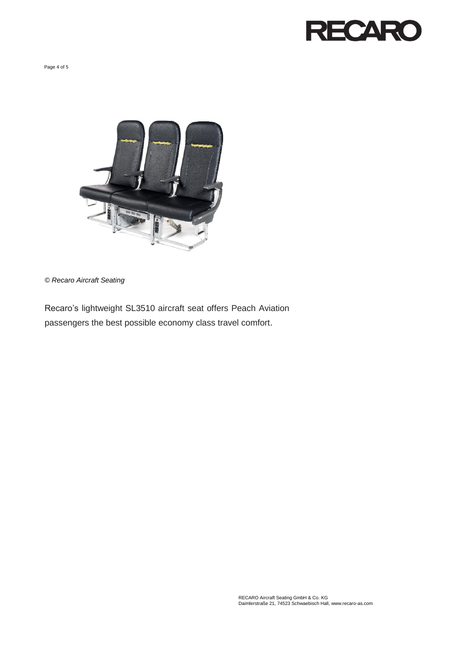

Page 4 of 5



*© Recaro Aircraft Seating*

Recaro's lightweight SL3510 aircraft seat offers Peach Aviation passengers the best possible economy class travel comfort.